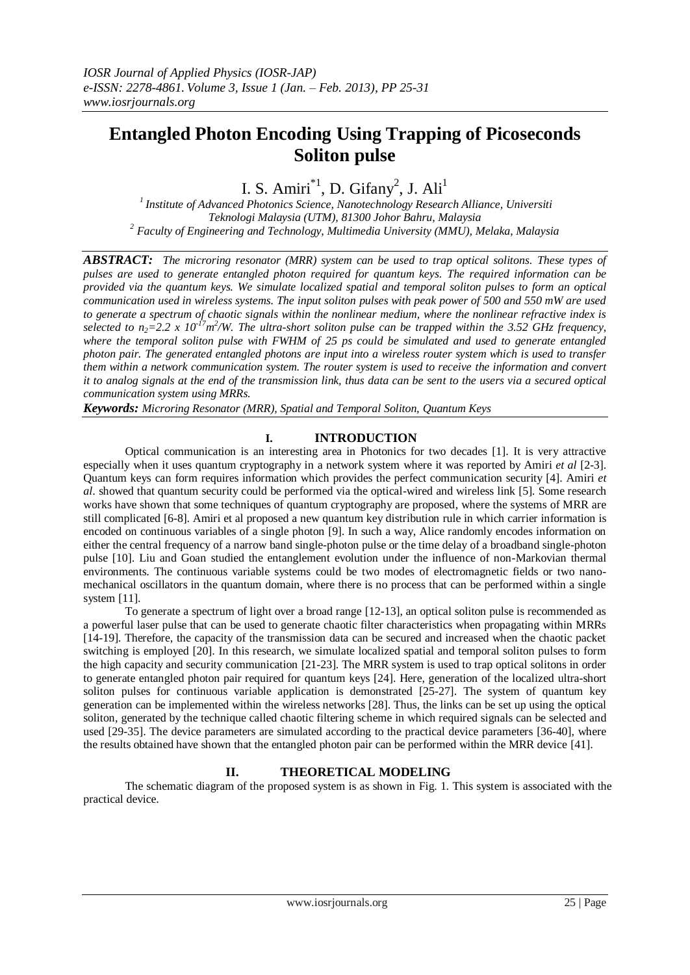# **Entangled Photon Encoding Using Trapping of Picoseconds Soliton pulse**

I. S. Amiri $^{*1}$ , D. Gifany<sup>2</sup>, J. Ali<sup>1</sup>

*<sup>1</sup>Institute of Advanced Photonics Science, Nanotechnology Research Alliance, Universiti Teknologi Malaysia (UTM), 81300 Johor Bahru, Malaysia <sup>2</sup> Faculty of Engineering and Technology, Multimedia University (MMU), Melaka, Malaysia*

*ABSTRACT: The microring resonator (MRR) system can be used to trap optical solitons. These types of pulses are used to generate entangled photon required for quantum keys. The required information can be provided via the quantum keys. We simulate localized spatial and temporal soliton pulses to form an optical communication used in wireless systems. The input soliton pulses with peak power of 500 and 550 mW are used to generate a spectrum of chaotic signals within the nonlinear medium, where the nonlinear refractive index is selected to n*<sub>2</sub>=2.2 x 10<sup>-17</sup>*m*<sup>2</sup>/W. The ultra-short soliton pulse can be trapped within the 3.52 GHz frequency, *where the temporal soliton pulse with FWHM of 25 ps could be simulated and used to generate entangled photon pair. The generated entangled photons are input into a wireless router system which is used to transfer them within a network communication system. The router system is used to receive the information and convert it to analog signals at the end of the transmission link, thus data can be sent to the users via a secured optical communication system using MRRs.* 

*Keywords: Microring Resonator (MRR), Spatial and Temporal Soliton, Quantum Keys*

# **I. INTRODUCTION**

Optical communication is an interesting area in Photonics for two decades [1]. It is very attractive especially when it uses quantum cryptography in a network system where it was reported by Amiri *et al* [2-3]. Quantum keys can form requires information which provides the perfect communication security [4]. Amiri *et al*. showed that quantum security could be performed via the optical-wired and wireless link [5]. Some research works have shown that some techniques of quantum cryptography are proposed, where the systems of MRR are still complicated [6-8]. Amiri et al proposed a new quantum key distribution rule in which carrier information is encoded on continuous variables of a single photon [9]. In such a way, Alice randomly encodes information on either the central frequency of a narrow band single-photon pulse or the time delay of a broadband single-photon pulse [10]. Liu and Goan studied the entanglement evolution under the influence of non-Markovian thermal environments. The continuous variable systems could be two modes of electromagnetic fields or two nanomechanical oscillators in the quantum domain, where there is no process that can be performed within a single system [11].

To generate a spectrum of light over a broad range [12-13], an optical soliton pulse is recommended as a powerful laser pulse that can be used to generate chaotic filter characteristics when propagating within MRRs [14-19]. Therefore, the capacity of the transmission data can be secured and increased when the chaotic packet switching is employed [20]. In this research, we simulate localized spatial and temporal soliton pulses to form the high capacity and security communication [21-23]. The MRR system is used to trap optical solitons in order to generate entangled photon pair required for quantum keys [24]. Here, generation of the localized ultra-short soliton pulses for continuous variable application is demonstrated [25-27]. The system of quantum key generation can be implemented within the wireless networks [28]. Thus, the links can be set up using the optical soliton, generated by the technique called chaotic filtering scheme in which required signals can be selected and used [29-35]. The device parameters are simulated according to the practical device parameters [36-40], where the results obtained have shown that the entangled photon pair can be performed within the MRR device [41].

## **II. THEORETICAL MODELING**

The schematic diagram of the proposed system is as shown in Fig. 1. This system is associated with the practical device.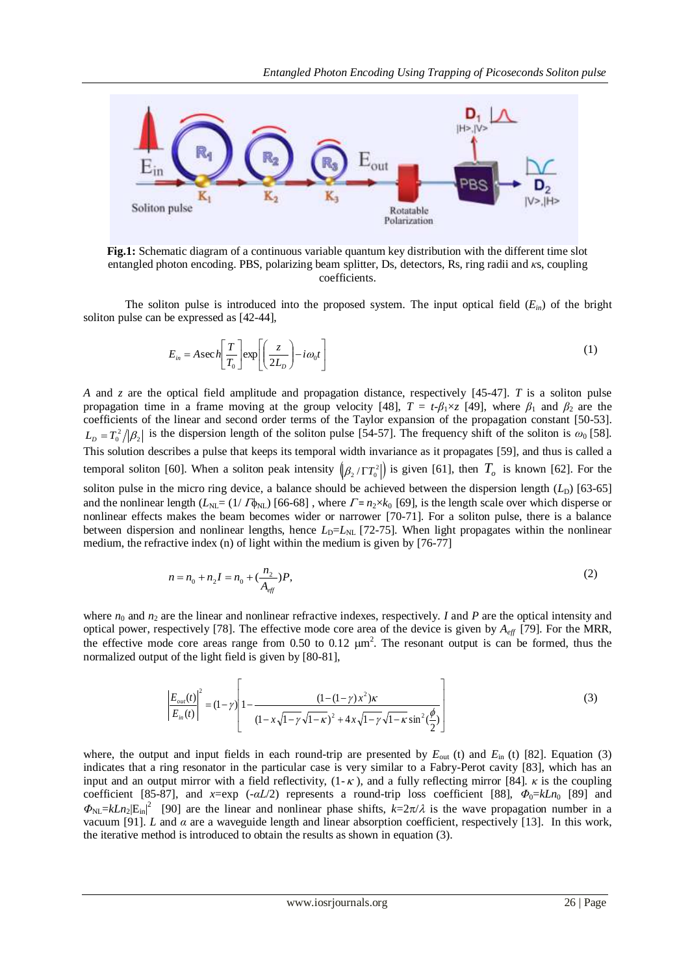

**Fig.1:** Schematic diagram of a continuous variable quantum key distribution with the different time slot entangled photon encoding. PBS, polarizing beam splitter, Ds, detectors, Rs, ring radii and *κ*s, coupling coefficients.

The soliton pulse is introduced into the proposed system. The input optical field  $(E_{in})$  of the bright soliton pulse can be expressed as [42-44],

$$
E_{in} = A \sec h \left[ \frac{T}{T_0} \right] \exp \left[ \left( \frac{z}{2L_D} \right) - i \omega_0 t \right]
$$
 (1)

*A* and *z* are the optical field amplitude and propagation distance, respectively [45-47]. *T* is a soliton pulse propagation time in a frame moving at the group velocity [48],  $T = t$ - $\beta_1 \times z$  [49], where  $\beta_1$  and  $\beta_2$  are the coefficients of the linear and second order terms of the Taylor expansion of the propagation constant [50-53].  $L_D = T_0^2/|\beta_2|$  is the dispersion length of the soliton pulse [54-57]. The frequency shift of the soliton is  $\omega_0$  [58]. This solution describes a pulse that keeps its temporal width invariance as it propagates [59], and thus is called a temporal soliton [60]. When a soliton peak intensity  $(\beta_2/\Gamma T_0^2)$  is given [61], then  $T_o$  is known [62]. For the soliton pulse in the micro ring device, a balance should be achieved between the dispersion length  $(L<sub>D</sub>)$  [63-65] and the nonlinear length  $(L_{NL} = (1/T_{N}L) [66-68]$ , where  $T = n_2 \times k_0 [69]$ , is the length scale over which disperse or nonlinear effects makes the beam becomes wider or narrower [70-71]. For a soliton pulse, there is a balance between dispersion and nonlinear lengths, hence  $L<sub>D</sub>=L<sub>NL</sub>$  [72-75]. When light propagates within the nonlinear medium, the refractive index (n) of light within the medium is given by [76-77]

$$
n = n_0 + n_2 I = n_0 + \left(\frac{n_2}{A_{\text{eff}}}\right) P,\tag{2}
$$

where  $n_0$  and  $n_2$  are the linear and nonlinear refractive indexes, respectively. *I* and *P* are the optical intensity and optical power, respectively [78]. The effective mode core area of the device is given by  $A_{\text{eff}}$  [79]. For the MRR, the effective mode core areas range from 0.50 to 0.12  $\mu$ m<sup>2</sup>. The resonant output is can be formed, thus the normalized output of the light field is given by [80-81],

$$
\left| \frac{E_{out}(t)}{E_{in}(t)} \right|^2 = (1 - \gamma) \left| 1 - \frac{(1 - (1 - \gamma)x^2)\kappa}{(1 - x\sqrt{1 - \gamma}\sqrt{1 - \kappa})^2 + 4x\sqrt{1 - \gamma}\sqrt{1 - \kappa}\sin^2(\frac{\phi}{2})} \right|
$$
(3)

where, the output and input fields in each round-trip are presented by  $E_{\text{out}}$  (t) and  $E_{\text{in}}$  (t) [82]. Equation (3) indicates that a ring resonator in the particular case is very similar to a Fabry-Perot cavity [83], which has an input and an output mirror with a field reflectivity,  $(1 - \kappa)$ , and a fully reflecting mirror [84].  $\kappa$  is the coupling coefficient [85-87], and *x*=exp (-*αL*/2) represents a round-trip loss coefficient [88],  $\Phi_0 = kLn_0$  [89] and  $\Phi_{NL} = kLn_2|E_{in}|^2$  [90] are the linear and nonlinear phase shifts,  $k=2\pi/\lambda$  is the wave propagation number in a vacuum [91]. *L* and *α* are a waveguide length and linear absorption coefficient, respectively [13].In this work, the iterative method is introduced to obtain the results as shown in equation (3).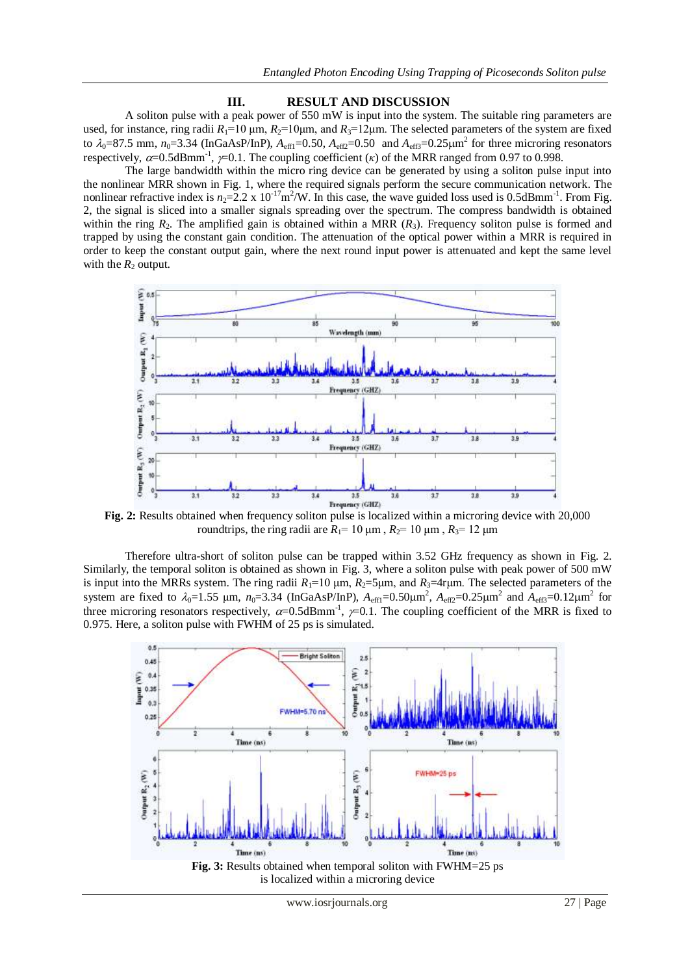### **III. RESULT AND DISCUSSION**

A soliton pulse with a peak power of 550 mW is input into the system. The suitable ring parameters are used, for instance, ring radii  $R_1=10 \mu m$ ,  $R_2=10 \mu m$ , and  $R_3=12 \mu m$ . The selected parameters of the system are fixed to  $\lambda_0$ =87.5 mm,  $n_0$ =3.34 (InGaAsP/InP),  $A_{\text{eff1}}$ =0.50,  $A_{\text{eff2}}$ =0.50 and  $A_{\text{eff3}}$ =0.25 $\mu$ m<sup>2</sup> for three microring resonators respectively,  $\alpha$ =0.5dBmm<sup>-1</sup>,  $\gamma$ =0.1. The coupling coefficient ( $\kappa$ ) of the MRR ranged from 0.97 to 0.998.

The large bandwidth within the micro ring device can be generated by using a soliton pulse input into the nonlinear MRR shown in Fig. 1, where the required signals perform the secure communication network. The nonlinear refractive index is  $n_2=2.2 \times 10^{-17} \text{m}^2/\text{W}$ . In this case, the wave guided loss used is 0.5dBmm<sup>-1</sup>. From Fig. 2, the signal is sliced into a smaller signals spreading over the spectrum. The compress bandwidth is obtained within the ring  $R_2$ . The amplified gain is obtained within a MRR  $(R_3)$ . Frequency soliton pulse is formed and trapped by using the constant gain condition. The attenuation of the optical power within a MRR is required in order to keep the constant output gain, where the next round input power is attenuated and kept the same level with the  $R_2$  output.



**Fig. 2:** Results obtained when frequency soliton pulse is localized within a microring device with 20,000 roundtrips, the ring radii are  $R_1$ = 10  $\mu$ m,  $R_2$ = 10  $\mu$ m,  $R_3$ = 12  $\mu$ m

Therefore ultra-short of soliton pulse can be trapped within 3.52 GHz frequency as shown in Fig. 2. Similarly, the temporal soliton is obtained as shown in Fig. 3, where a soliton pulse with peak power of 500 mW is input into the MRRs system. The ring radii  $R_1=10 \mu m$ ,  $R_2=5 \mu m$ , and  $R_3=4r \mu m$ . The selected parameters of the system are fixed to  $\lambda_0 = 1.55$  µm,  $n_0 = 3.34$  (InGaAsP/InP),  $A_{eff1} = 0.50 \mu m^2$ ,  $A_{eff2} = 0.25 \mu m^2$  and  $A_{eff3} = 0.12 \mu m^2$  for three microring resonators respectively,  $\alpha$ =0.5dBmm<sup>-1</sup>,  $\gamma$ =0.1. The coupling coefficient of the MRR is fixed to 0.975. Here, a soliton pulse with FWHM of 25 ps is simulated.

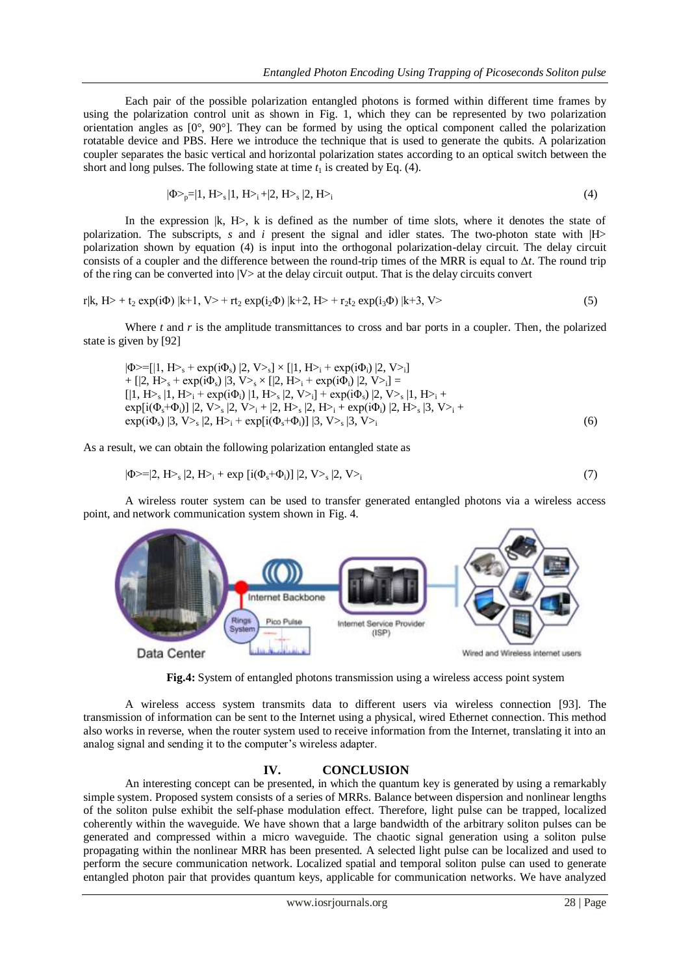Each pair of the possible polarization entangled photons is formed within different time frames by using the polarization control unit as shown in Fig. 1, which they can be represented by two polarization orientation angles as  $[0^{\circ}, 90^{\circ}]$ . They can be formed by using the optical component called the polarization rotatable device and PBS. Here we introduce the technique that is used to generate the qubits. A polarization coupler separates the basic vertical and horizontal polarization states according to an optical switch between the short and long pulses. The following state at time  $t_1$  is created by Eq. (4).

$$
|\Phi_{p} = |1, H_{s}|1, H_{1} + |2, H_{s}|2, H_{1}
$$
\n<sup>(4)</sup>

In the expression  $|k, H\rangle$ , k is defined as the number of time slots, where it denotes the state of polarization. The subscripts, *s* and *i* present the signal and idler states. The two-photon state with |H> polarization shown by equation (4) is input into the orthogonal polarization-delay circuit. The delay circuit consists of a coupler and the difference between the round-trip times of the MRR is equal to Δ*t*. The round trip of the ring can be converted into  $|V\rangle$  at the delay circuit output. That is the delay circuits convert

$$
r|k, H> + t_2 \exp(i\Phi) |k+1, V> + rt_2 \exp(i_2\Phi) |k+2, H> + r_2t_2 \exp(i_3\Phi) |k+3, V> \tag{5}
$$

Where *t* and *r* is the amplitude transmittances to cross and bar ports in a coupler. Then, the polarized state is given by [92]

 $|\Phi>=[|1, H>_{\rm s}+ \exp(i\Phi_{\rm s})|2, V>_{\rm s}]\times[|1, H>_{\rm i}+ \exp(i\Phi_{\rm i})|2, V>_{\rm i}]$ +  $[|2, H_{\geq s} + \exp(i\Phi_s) |3, V_{\geq s} \times [|2, H_{\geq i} + \exp(i\Phi_i) |2, V_{\geq i}]$  =  $[|1, H_>\_s | 1, H_>\_i + \exp(i\Phi_i) | 1, H_>\_s | 2, V_>\_i] + \exp(i\Phi_s) | 2, V_>\_s | 1, H_>\_i +$  $\exp[i(\Phi_s + \Phi_i)] \, |2, V>_s |2, V>_i + |2, H>_s |2, H>_i + \exp(i\Phi_i) |2, H>_s |3, V>_i +$  $exp(i\Phi_s)$  |3,  $V>_s$  |2,  $H>_i + exp[i(\Phi_s + \Phi_i)]$  |3,  $V>_s$  |3,  $V>_i$  (6)

As a result, we can obtain the following polarization entangled state as

$$
|\Phi>=|2, H>_{s}|2, H>_{i} + \exp[i(\Phi_{s}+\Phi_{i})]|2, V>_{s}|2, V>_{i}
$$
\n(7)

A wireless router system can be used to transfer generated entangled photons via a wireless access point, and network communication system shown in Fig. 4.



**Fig.4:** System of entangled photons transmission using a wireless access point system

A wireless access system transmits data to different users via wireless connection [93]. The transmission of information can be sent to the Internet using a physical, wired Ethernet connection. This method also works in reverse, when the router system used to receive information from the Internet, translating it into an analog signal and sending it to the computer's wireless adapter.

## **IV. CONCLUSION**

An interesting concept can be presented, in which the quantum key is generated by using a remarkably simple system. Proposed system consists of a series of MRRs. Balance between dispersion and nonlinear lengths of the soliton pulse exhibit the self-phase modulation effect. Therefore, light pulse can be trapped, localized coherently within the waveguide. We have shown that a large bandwidth of the arbitrary soliton pulses can be generated and compressed within a micro waveguide. The chaotic signal generation using a soliton pulse propagating within the nonlinear MRR has been presented. A selected light pulse can be localized and used to perform the secure communication network. Localized spatial and temporal soliton pulse can used to generate entangled photon pair that provides quantum keys, applicable for communication networks. We have analyzed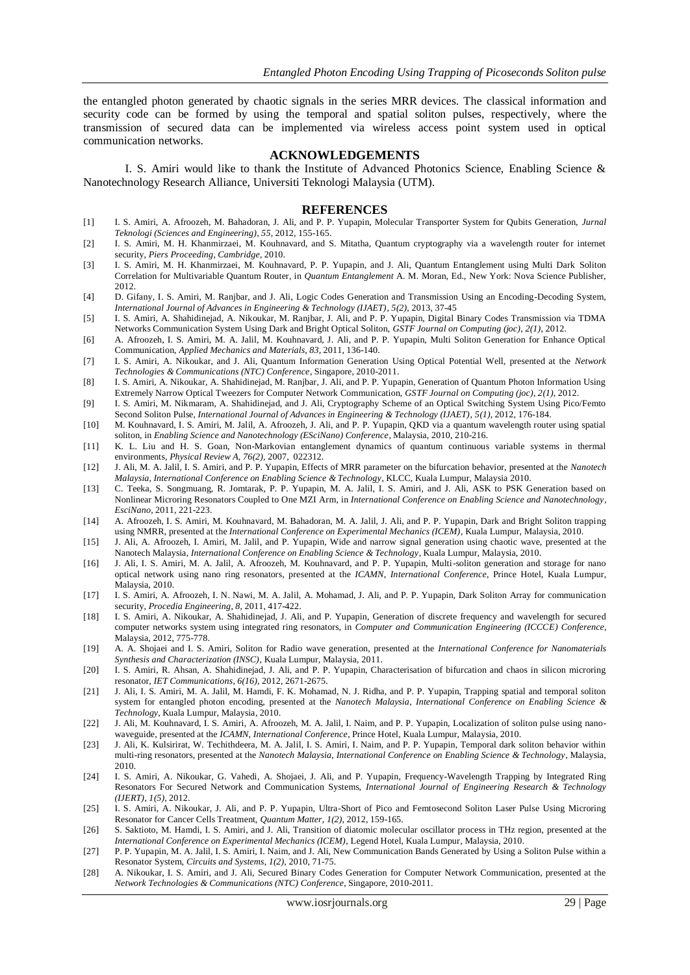the entangled photon generated by chaotic signals in the series MRR devices. The classical information and security code can be formed by using the temporal and spatial soliton pulses, respectively, where the transmission of secured data can be implemented via wireless access point system used in optical communication networks.

#### **ACKNOWLEDGEMENTS**

I. S. Amiri would like to thank the Institute of Advanced Photonics Science, Enabling Science & Nanotechnology Research Alliance, Universiti Teknologi Malaysia (UTM).

#### **REFERENCES**

- [1] I. S. Amiri, A. Afroozeh, M. Bahadoran, J. Ali, and P. P. Yupapin, Molecular Transporter System for Qubits Generation, *Jurnal Teknologi (Sciences and Engineering)*, *55*, 2012, 155-165.
- [2] I. S. Amiri, M. H. Khanmirzaei, M. Kouhnavard, and S. Mitatha, Quantum cryptography via a wavelength router for internet security, *Piers Proceeding*, *Cambridge*, 2010.
- [3] I. S. Amiri, M. H. Khanmirzaei, M. Kouhnavard, P. P. Yupapin, and J. Ali, Quantum Entanglement using Multi Dark Soliton Correlation for Multivariable Quantum Router, in *Quantum Entanglement* A. M. Moran, Ed., New York: Nova Science Publisher, 2012.
- [4] D. Gifany, I. S. Amiri, M. Ranjbar, and J. Ali, Logic Codes Generation and Transmission Using an Encoding-Decoding System, *International Journal of Advances in Engineering & Technology (IJAET)*, *5(2)*, 2013, 37-45
- [5] I. S. Amiri, A. Shahidinejad, A. Nikoukar, M. Ranjbar, J. Ali, and P. P. Yupapin, Digital Binary Codes Transmission via TDMA Networks Communication System Using Dark and Bright Optical Soliton, *GSTF Journal on Computing (joc)*, *2(1)*, 2012.
- [6] A. Afroozeh, I. S. Amiri, M. A. Jalil, M. Kouhnavard, J. Ali, and P. P. Yupapin, Multi Soliton Generation for Enhance Optical Communication, *Applied Mechanics and Materials*, *83*, 2011, 136-140.
- [7] I. S. Amiri, A. Nikoukar, and J. Ali, Quantum Information Generation Using Optical Potential Well, presented at the *Network Technologies & Communications (NTC) Conference*, Singapore, 2010-2011.
- [8] I. S. Amiri, A. Nikoukar, A. Shahidinejad, M. Ranjbar, J. Ali, and P. P. Yupapin, Generation of Quantum Photon Information Using Extremely Narrow Optical Tweezers for Computer Network Communication, *GSTF Journal on Computing (joc)*, *2(1)*, 2012.
- [9] I. S. Amiri, M. Nikmaram, A. Shahidinejad, and J. Ali, Cryptography Scheme of an Optical Switching System Using Pico/Femto Second Soliton Pulse, *International Journal of Advances in Engineering & Technology (IJAET)*, *5(1)*, 2012, 176-184.
- [10] M. Kouhnavard, I. S. Amiri, M. Jalil, A. Afroozeh, J. Ali, and P. P. Yupapin, QKD via a quantum wavelength router using spatial soliton, in *Enabling Science and Nanotechnology (ESciNano) Conference*, Malaysia, 2010, 210-216.
- [11] K. L. Liu and H. S. Goan, Non-Markovian entanglement dynamics of quantum continuous variable systems in thermal environments, *Physical Review A, 76(2)*, 2007, 022312.
- [12] J. Ali, M. A. Jalil, I. S. Amiri, and P. P. Yupapin, Effects of MRR parameter on the bifurcation behavior, presented at the *Nanotech Malaysia, International Conference on Enabling Science & Technology*, KLCC, Kuala Lumpur, Malaysia 2010.
- [13] C. Teeka, S. Songmuang, R. Jomtarak, P. P. Yupapin, M. A. Jalil, I. S. Amiri, and J. Ali, ASK to PSK Generation based on Nonlinear Microring Resonators Coupled to One MZI Arm, in *International Conference on Enabling Science and Nanotechnology*, *EsciNano*, 2011, 221-223.
- [14] A. Afroozeh, I. S. Amiri, M. Kouhnavard, M. Bahadoran, M. A. Jalil, J. Ali, and P. P. Yupapin, Dark and Bright Soliton trapping using NMRR, presented at the *International Conference on Experimental Mechanics (ICEM)*, Kuala Lumpur, Malaysia, 2010.
- [15] J. Ali, A. Afroozeh, I. Amiri, M. Jalil, and P. Yupapin, Wide and narrow signal generation using chaotic wave, presented at the Nanotech Malaysia, *International Conference on Enabling Science & Technology*, Kuala Lumpur, Malaysia, 2010.
- [16] J. Ali, I. S. Amiri, M. A. Jalil, A. Afroozeh, M. Kouhnavard, and P. P. Yupapin, Multi-soliton generation and storage for nano optical network using nano ring resonators, presented at the *ICAMN*, *International Conference*, Prince Hotel, Kuala Lumpur, Malaysia, 2010.
- [17] I. S. Amiri, A. Afroozeh, I. N. Nawi, M. A. Jalil, A. Mohamad, J. Ali, and P. P. Yupapin, Dark Soliton Array for communication security, *Procedia Engineering*, *8*, 2011, 417-422.
- [18] I. S. Amiri, A. Nikoukar, A. Shahidinejad, J. Ali, and P. Yupapin, Generation of discrete frequency and wavelength for secured computer networks system using integrated ring resonators, in *Computer and Communication Engineering (ICCCE) Conference*, Malaysia, 2012, 775-778.
- [19] A. A. Shojaei and I. S. Amiri, Soliton for Radio wave generation, presented at the *International Conference for Nanomaterials Synthesis and Characterization (INSC)*, Kuala Lumpur, Malaysia, 2011.
- [20] I. S. Amiri, R. Ahsan, A. Shahidinejad, J. Ali, and P. P. Yupapin, Characterisation of bifurcation and chaos in silicon microring resonator, *IET Communications*, *6(16)*, 2012, 2671-2675.
- [21] J. Ali, I. S. Amiri, M. A. Jalil, M. Hamdi, F. K. Mohamad, N. J. Ridha, and P. P. Yupapin, Trapping spatial and temporal soliton system for entangled photon encoding, presented at the *Nanotech Malaysia*, *International Conference on Enabling Science & Technology*, Kuala Lumpur, Malaysia, 2010.
- [22] J. Ali, M. Kouhnavard, I. S. Amiri, A. Afroozeh, M. A. Jalil, I. Naim, and P. P. Yupapin, Localization of soliton pulse using nanowaveguide, presented at the *ICAMN*, *International Conference*, Prince Hotel, Kuala Lumpur, Malaysia, 2010.
- [23] J. Ali, K. Kulsirirat, W. Techithdeera, M. A. Jalil, I. S. Amiri, I. Naim, and P. P. Yupapin, Temporal dark soliton behavior within multi-ring resonators, presented at the *Nanotech Malaysia*, *International Conference on Enabling Science & Technology*, Malaysia, 2010.
- [24] I. S. Amiri, A. Nikoukar, G. Vahedi, A. Shojaei, J. Ali, and P. Yupapin, Frequency-Wavelength Trapping by Integrated Ring Resonators For Secured Network and Communication Systems, *International Journal of Engineering Research & Technology (IJERT)*, *1(5)*, 2012.
- [25] I. S. Amiri, A. Nikoukar, J. Ali, and P. P. Yupapin, Ultra-Short of Pico and Femtosecond Soliton Laser Pulse Using Microring Resonator for Cancer Cells Treatment, *Quantum Matter*, *1(2)*, 2012, 159-165.
- [26] S. Saktioto, M. Hamdi, I. S. Amiri, and J. Ali, Transition of diatomic molecular oscillator process in THz region, presented at the *International Conference on Experimental Mechanics (ICEM)*, Legend Hotel, Kuala Lumpur, Malaysia, 2010.
- [27] P. P. Yupapin, M. A. Jalil, I. S. Amiri, I. Naim, and J. Ali, New Communication Bands Generated by Using a Soliton Pulse within a Resonator System, *Circuits and Systems*, *1(2)*, 2010, 71-75.
- [28] A. Nikoukar, I. S. Amiri, and J. Ali, Secured Binary Codes Generation for Computer Network Communication, presented at the *Network Technologies & Communications (NTC) Conference*, Singapore, 2010-2011.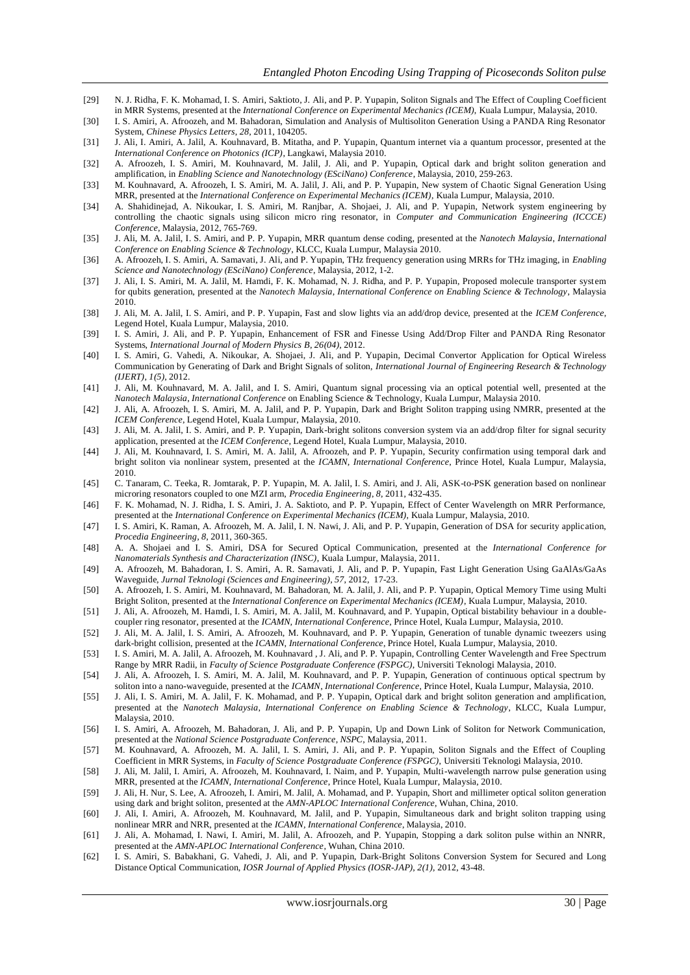- [29] N. J. Ridha, F. K. Mohamad, I. S. Amiri, Saktioto, J. Ali, and P. P. Yupapin, Soliton Signals and The Effect of Coupling Coefficient in MRR Systems, presented at the *International Conference on Experimental Mechanics (ICEM)*, Kuala Lumpur, Malaysia, 2010.
- [30] I. S. Amiri, A. Afroozeh, and M. Bahadoran, Simulation and Analysis of Multisoliton Generation Using a PANDA Ring Resonator System, *Chinese Physics Letters*, *28*, 2011, 104205.
- [31] J. Ali, I. Amiri, A. Jalil, A. Kouhnavard, B. Mitatha, and P. Yupapin, Quantum internet via a quantum processor, presented at the *International Conference on Photonics (ICP)*, Langkawi, Malaysia 2010.
- [32] A. Afroozeh, I. S. Amiri, M. Kouhnavard, M. Jalil, J. Ali, and P. Yupapin, Optical dark and bright soliton generation and amplification, in *Enabling Science and Nanotechnology (ESciNano) Conference*, Malaysia, 2010, 259-263.
- [33] M. Kouhnavard, A. Afroozeh, I. S. Amiri, M. A. Jalil, J. Ali, and P. P. Yupapin, New system of Chaotic Signal Generation Using MRR, presented at the *International Conference on Experimental Mechanics (ICEM)*, Kuala Lumpur, Malaysia, 2010.
- [34] A. Shahidinejad, A. Nikoukar, I. S. Amiri, M. Ranjbar, A. Shojaei, J. Ali, and P. Yupapin, Network system engineering by controlling the chaotic signals using silicon micro ring resonator, in *Computer and Communication Engineering (ICCCE) Conference*, Malaysia, 2012, 765-769.
- [35] J. Ali, M. A. Jalil, I. S. Amiri, and P. P. Yupapin, MRR quantum dense coding, presented at the *Nanotech Malaysia*, *International Conference on Enabling Science & Technology*, KLCC, Kuala Lumpur, Malaysia 2010.
- [36] A. Afroozeh, I. S. Amiri, A. Samavati, J. Ali, and P. Yupapin, THz frequency generation using MRRs for THz imaging, in *Enabling Science and Nanotechnology (ESciNano) Conference*, Malaysia, 2012, 1-2.
- [37] J. Ali, I. S. Amiri, M. A. Jalil, M. Hamdi, F. K. Mohamad, N. J. Ridha, and P. P. Yupapin, Proposed molecule transporter syst em for qubits generation, presented at the *Nanotech Malaysia*, *International Conference on Enabling Science & Technology*, Malaysia 2010.
- [38] J. Ali, M. A. Jalil, I. S. Amiri, and P. P. Yupapin, Fast and slow lights via an add/drop device, presented at the *ICEM Conference*, Legend Hotel, Kuala Lumpur, Malaysia, 2010.
- [39] I. S. Amiri, J. Ali, and P. P. Yupapin, Enhancement of FSR and Finesse Using Add/Drop Filter and PANDA Ring Resonator Systems, *International Journal of Modern Physics B*, *26(04)*, 2012.
- [40] I. S. Amiri, G. Vahedi, A. Nikoukar, A. Shojaei, J. Ali, and P. Yupapin, Decimal Convertor Application for Optical Wireless Communication by Generating of Dark and Bright Signals of soliton, *International Journal of Engineering Research & Technology (IJERT)*, *1(5)*, 2012.
- [41] J. Ali, M. Kouhnavard, M. A. Jalil, and I. S. Amiri, Quantum signal processing via an optical potential well, presented at the *Nanotech Malaysia*, *International Conference* on Enabling Science & Technology, Kuala Lumpur, Malaysia 2010.
- [42] J. Ali, A. Afroozeh, I. S. Amiri, M. A. Jalil, and P. P. Yupapin, Dark and Bright Soliton trapping using NMRR, presented at the *ICEM Conference*, Legend Hotel, Kuala Lumpur, Malaysia, 2010.
- [43] J. Ali, M. A. Jalil, I. S. Amiri, and P. P. Yupapin, Dark-bright solitons conversion system via an add/drop filter for signal security application, presented at the *ICEM Conference*, Legend Hotel, Kuala Lumpur, Malaysia, 2010.
- [44] J. Ali, M. Kouhnavard, I. S. Amiri, M. A. Jalil, A. Afroozeh, and P. P. Yupapin, Security confirmation using temporal dark and bright soliton via nonlinear system, presented at the *ICAMN*, *International Conference*, Prince Hotel, Kuala Lumpur, Malaysia, 2010.
- [45] C. Tanaram, C. Teeka, R. Jomtarak, P. P. Yupapin, M. A. Jalil, I. S. Amiri, and J. Ali, ASK-to-PSK generation based on nonlinear microring resonators coupled to one MZI arm, *Procedia Engineering*, *8*, 2011, 432-435.
- [46] F. K. Mohamad, N. J. Ridha, I. S. Amiri, J. A. Saktioto, and P. P. Yupapin, Effect of Center Wavelength on MRR Performance, presented at the *International Conference on Experimental Mechanics (ICEM)*, Kuala Lumpur, Malaysia, 2010.
- [47] I. S. Amiri, K. Raman, A. Afroozeh, M. A. Jalil, I. N. Nawi, J. Ali, and P. P. Yupapin, Generation of DSA for security application, *Procedia Engineering*, *8*, 2011, 360-365.
- [48] A. A. Shojaei and I. S. Amiri, DSA for Secured Optical Communication, presented at the *International Conference for Nanomaterials Synthesis and Characterization (INSC)*, Kuala Lumpur, Malaysia, 2011.
- [49] A. Afroozeh, M. Bahadoran, I. S. Amiri, A. R. Samavati, J. Ali, and P. P. Yupapin, Fast Light Generation Using GaAlAs/GaAs Waveguide, *Jurnal Teknologi (Sciences and Engineering)*, *57*, 2012, 17-23.
- [50] A. Afroozeh, I. S. Amiri, M. Kouhnavard, M. Bahadoran, M. A. Jalil, J. Ali, and P. P. Yupapin, Optical Memory Time using Multi Bright Soliton, presented at the *International Conference on Experimental Mechanics (ICEM)*, Kuala Lumpur, Malaysia, 2010.
- [51] J. Ali, A. Afroozeh, M. Hamdi, I. S. Amiri, M. A. Jalil, M. Kouhnavard, and P. Yupapin, Optical bistability behaviour in a doublecoupler ring resonator, presented at the *ICAMN, International Conference*, Prince Hotel, Kuala Lumpur, Malaysia, 2010.
- [52] J. Ali, M. A. Jalil, I. S. Amiri, A. Afroozeh, M. Kouhnavard, and P. P. Yupapin, Generation of tunable dynamic tweezers using dark-bright collision, presented at the *ICAMN*, *International Conference*, Prince Hotel, Kuala Lumpur, Malaysia, 2010.
- [53] I. S. Amiri, M. A. Jalil, A. Afroozeh, M. Kouhnavard , J. Ali, and P. P. Yupapin, Controlling Center Wavelength and Free Spectrum Range by MRR Radii, in *Faculty of Science Postgraduate Conference (FSPGC)*, Universiti Teknologi Malaysia, 2010.
- [54] J. Ali, A. Afroozeh, I. S. Amiri, M. A. Jalil, M. Kouhnavard, and P. P. Yupapin, Generation of continuous optical spectrum by soliton into a nano-waveguide, presented at the *ICAMN*, *International Conference*, Prince Hotel, Kuala Lumpur, Malaysia, 2010.
- [55] J. Ali, I. S. Amiri, M. A. Jalil, F. K. Mohamad, and P. P. Yupapin, Optical dark and bright soliton generation and amplification, presented at the *Nanotech Malaysia*, *International Conference on Enabling Science & Technology*, KLCC, Kuala Lumpur, Malaysia, 2010.
- [56] I. S. Amiri, A. Afroozeh, M. Bahadoran, J. Ali, and P. P. Yupapin, Up and Down Link of Soliton for Network Communication, presented at the *National Science Postgraduate Conference*, *NSPC*, Malaysia, 2011.
- [57] M. Kouhnavard, A. Afroozeh, M. A. Jalil, I. S. Amiri, J. Ali, and P. P. Yupapin, Soliton Signals and the Effect of Coupling Coefficient in MRR Systems, in *Faculty of Science Postgraduate Conference (FSPGC)*, Universiti Teknologi Malaysia, 2010.
- [58] J. Ali, M. Jalil, I. Amiri, A. Afroozeh, M. Kouhnavard, I. Naim, and P. Yupapin, Multi-wavelength narrow pulse generation using MRR, presented at the *ICAMN*, *International Conference*, Prince Hotel, Kuala Lumpur, Malaysia, 2010.
- [59] J. Ali, H. Nur, S. Lee, A. Afroozeh, I. Amiri, M. Jalil, A. Mohamad, and P. Yupapin, Short and millimeter optical soliton generation using dark and bright soliton, presented at the *AMN-APLOC International Conference*, Wuhan, China, 2010.
- [60] J. Ali, I. Amiri, A. Afroozeh, M. Kouhnavard, M. Jalil, and P. Yupapin, Simultaneous dark and bright soliton trapping using nonlinear MRR and NRR, presented at the *ICAMN, International Conference*, Malaysia, 2010.
- [61] J. Ali, A. Mohamad, I. Nawi, I. Amiri, M. Jalil, A. Afroozeh, and P. Yupapin, Stopping a dark soliton pulse within an NNRR, presented at the *AMN-APLOC International Conference*, Wuhan, China 2010.
- [62] I. S. Amiri, S. Babakhani, G. Vahedi, J. Ali, and P. Yupapin, Dark-Bright Solitons Conversion System for Secured and Long Distance Optical Communication, *IOSR Journal of Applied Physics (IOSR-JAP)*, *2(1)*, 2012, 43-48.